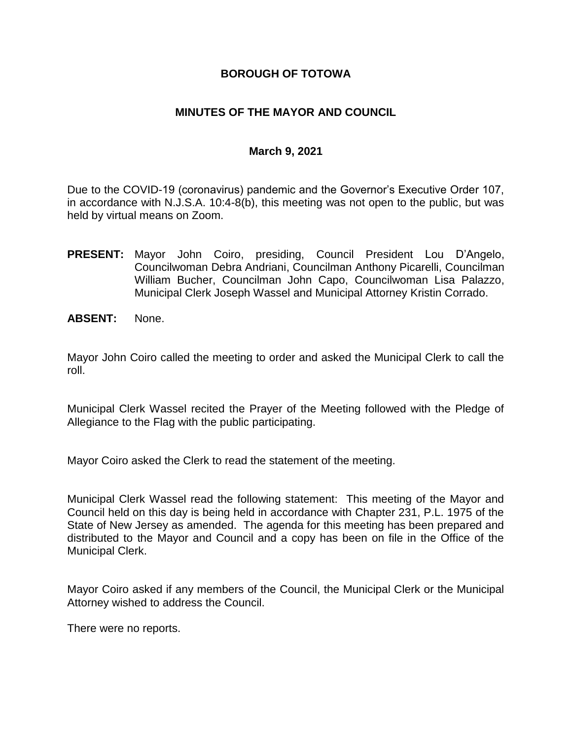### **BOROUGH OF TOTOWA**

## **MINUTES OF THE MAYOR AND COUNCIL**

#### **March 9, 2021**

Due to the COVID-19 (coronavirus) pandemic and the Governor's Executive Order 107, in accordance with N.J.S.A. 10:4-8(b), this meeting was not open to the public, but was held by virtual means on Zoom.

- **PRESENT:** Mayor John Coiro, presiding, Council President Lou D'Angelo, Councilwoman Debra Andriani, Councilman Anthony Picarelli, Councilman William Bucher, Councilman John Capo, Councilwoman Lisa Palazzo, Municipal Clerk Joseph Wassel and Municipal Attorney Kristin Corrado.
- **ABSENT:** None.

Mayor John Coiro called the meeting to order and asked the Municipal Clerk to call the roll.

Municipal Clerk Wassel recited the Prayer of the Meeting followed with the Pledge of Allegiance to the Flag with the public participating.

Mayor Coiro asked the Clerk to read the statement of the meeting.

Municipal Clerk Wassel read the following statement: This meeting of the Mayor and Council held on this day is being held in accordance with Chapter 231, P.L. 1975 of the State of New Jersey as amended. The agenda for this meeting has been prepared and distributed to the Mayor and Council and a copy has been on file in the Office of the Municipal Clerk.

Mayor Coiro asked if any members of the Council, the Municipal Clerk or the Municipal Attorney wished to address the Council.

There were no reports.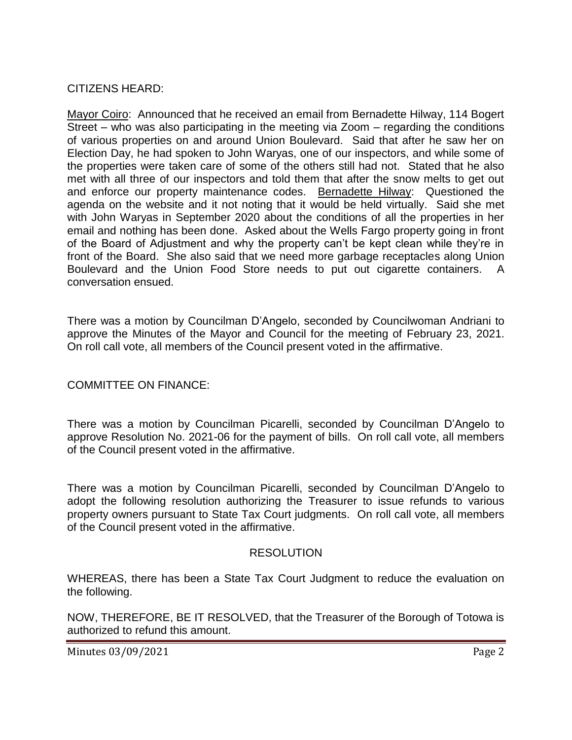# CITIZENS HEARD:

Mayor Coiro: Announced that he received an email from Bernadette Hilway, 114 Bogert Street – who was also participating in the meeting via Zoom – regarding the conditions of various properties on and around Union Boulevard. Said that after he saw her on Election Day, he had spoken to John Waryas, one of our inspectors, and while some of the properties were taken care of some of the others still had not. Stated that he also met with all three of our inspectors and told them that after the snow melts to get out and enforce our property maintenance codes. Bernadette Hilway: Questioned the agenda on the website and it not noting that it would be held virtually. Said she met with John Waryas in September 2020 about the conditions of all the properties in her email and nothing has been done. Asked about the Wells Fargo property going in front of the Board of Adjustment and why the property can't be kept clean while they're in front of the Board. She also said that we need more garbage receptacles along Union Boulevard and the Union Food Store needs to put out cigarette containers. A conversation ensued.

There was a motion by Councilman D'Angelo, seconded by Councilwoman Andriani to approve the Minutes of the Mayor and Council for the meeting of February 23, 2021. On roll call vote, all members of the Council present voted in the affirmative.

# COMMITTEE ON FINANCE:

There was a motion by Councilman Picarelli, seconded by Councilman D'Angelo to approve Resolution No. 2021-06 for the payment of bills. On roll call vote, all members of the Council present voted in the affirmative.

There was a motion by Councilman Picarelli, seconded by Councilman D'Angelo to adopt the following resolution authorizing the Treasurer to issue refunds to various property owners pursuant to State Tax Court judgments. On roll call vote, all members of the Council present voted in the affirmative.

#### RESOLUTION

WHEREAS, there has been a State Tax Court Judgment to reduce the evaluation on the following.

NOW, THEREFORE, BE IT RESOLVED, that the Treasurer of the Borough of Totowa is authorized to refund this amount.

Minutes 03/09/2021 **Page 2**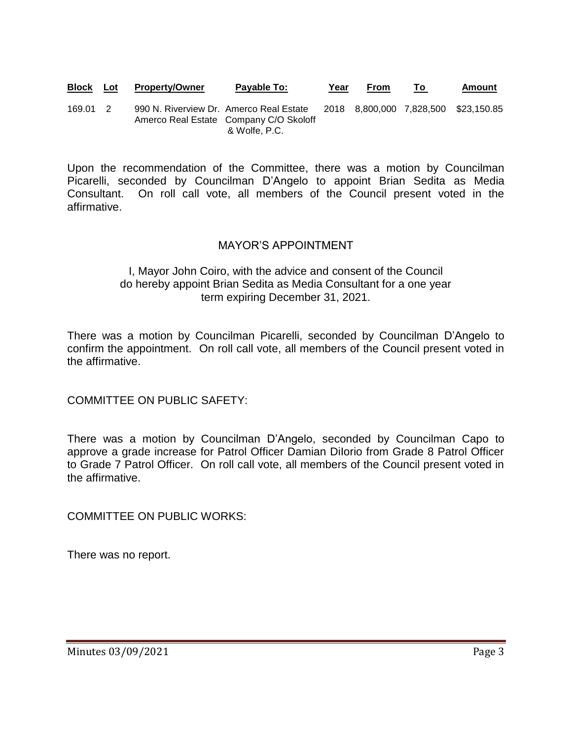**Block Lot Property/Owner Payable To: Year From To Amount**

169.01 2 990 N. Riverview Dr. Amerco Real Estate 2018 8,800,000 7,828,500 \$23,150.85 Amerco Real Estate Company C/O Skoloff & Wolfe, P.C.

Upon the recommendation of the Committee, there was a motion by Councilman Picarelli, seconded by Councilman D'Angelo to appoint Brian Sedita as Media Consultant. On roll call vote, all members of the Council present voted in the affirmative.

# MAYOR'S APPOINTMENT

### I, Mayor John Coiro, with the advice and consent of the Council do hereby appoint Brian Sedita as Media Consultant for a one year term expiring December 31, 2021.

There was a motion by Councilman Picarelli, seconded by Councilman D'Angelo to confirm the appointment. On roll call vote, all members of the Council present voted in the affirmative.

COMMITTEE ON PUBLIC SAFETY:

There was a motion by Councilman D'Angelo, seconded by Councilman Capo to approve a grade increase for Patrol Officer Damian DiIorio from Grade 8 Patrol Officer to Grade 7 Patrol Officer. On roll call vote, all members of the Council present voted in the affirmative.

COMMITTEE ON PUBLIC WORKS:

There was no report.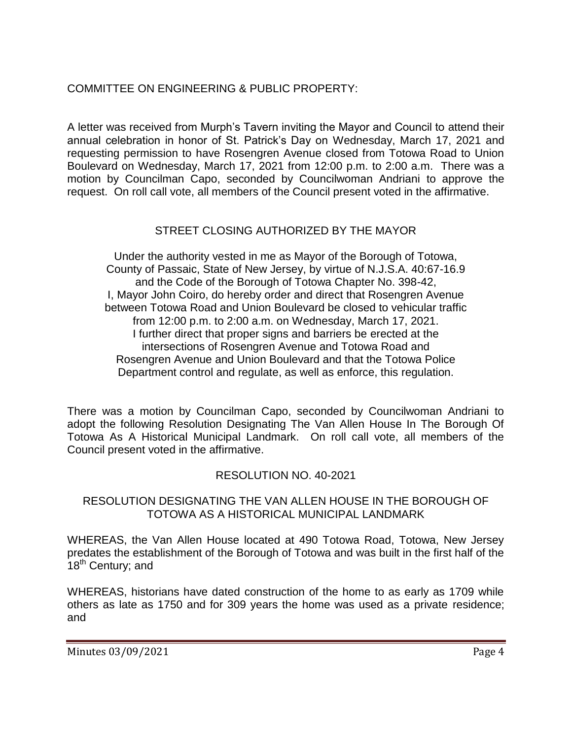# COMMITTEE ON ENGINEERING & PUBLIC PROPERTY:

A letter was received from Murph's Tavern inviting the Mayor and Council to attend their annual celebration in honor of St. Patrick's Day on Wednesday, March 17, 2021 and requesting permission to have Rosengren Avenue closed from Totowa Road to Union Boulevard on Wednesday, March 17, 2021 from 12:00 p.m. to 2:00 a.m. There was a motion by Councilman Capo, seconded by Councilwoman Andriani to approve the request. On roll call vote, all members of the Council present voted in the affirmative.

# STREET CLOSING AUTHORIZED BY THE MAYOR

Under the authority vested in me as Mayor of the Borough of Totowa, County of Passaic, State of New Jersey, by virtue of N.J.S.A. 40:67-16.9 and the Code of the Borough of Totowa Chapter No. 398-42, I, Mayor John Coiro, do hereby order and direct that Rosengren Avenue between Totowa Road and Union Boulevard be closed to vehicular traffic from 12:00 p.m. to 2:00 a.m. on Wednesday, March 17, 2021. I further direct that proper signs and barriers be erected at the intersections of Rosengren Avenue and Totowa Road and Rosengren Avenue and Union Boulevard and that the Totowa Police Department control and regulate, as well as enforce, this regulation.

There was a motion by Councilman Capo, seconded by Councilwoman Andriani to adopt the following Resolution Designating The Van Allen House In The Borough Of Totowa As A Historical Municipal Landmark. On roll call vote, all members of the Council present voted in the affirmative.

# RESOLUTION NO. 40-2021

### RESOLUTION DESIGNATING THE VAN ALLEN HOUSE IN THE BOROUGH OF TOTOWA AS A HISTORICAL MUNICIPAL LANDMARK

WHEREAS, the Van Allen House located at 490 Totowa Road, Totowa, New Jersey predates the establishment of the Borough of Totowa and was built in the first half of the 18<sup>th</sup> Century; and

WHEREAS, historians have dated construction of the home to as early as 1709 while others as late as 1750 and for 309 years the home was used as a private residence; and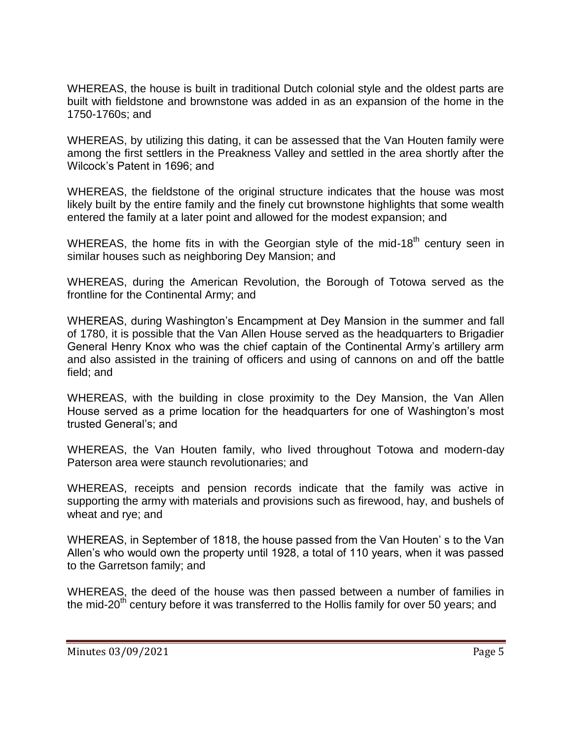WHEREAS, the house is built in traditional Dutch colonial style and the oldest parts are built with fieldstone and brownstone was added in as an expansion of the home in the 1750-1760s; and

WHEREAS, by utilizing this dating, it can be assessed that the Van Houten family were among the first settlers in the Preakness Valley and settled in the area shortly after the Wilcock's Patent in 1696; and

WHEREAS, the fieldstone of the original structure indicates that the house was most likely built by the entire family and the finely cut brownstone highlights that some wealth entered the family at a later point and allowed for the modest expansion; and

WHEREAS, the home fits in with the Georgian style of the mid-18<sup>th</sup> century seen in similar houses such as neighboring Dey Mansion; and

WHEREAS, during the American Revolution, the Borough of Totowa served as the frontline for the Continental Army; and

WHEREAS, during Washington's Encampment at Dey Mansion in the summer and fall of 1780, it is possible that the Van Allen House served as the headquarters to Brigadier General Henry Knox who was the chief captain of the Continental Army's artillery arm and also assisted in the training of officers and using of cannons on and off the battle field; and

WHEREAS, with the building in close proximity to the Dey Mansion, the Van Allen House served as a prime location for the headquarters for one of Washington's most trusted General's; and

WHEREAS, the Van Houten family, who lived throughout Totowa and modern-day Paterson area were staunch revolutionaries; and

WHEREAS, receipts and pension records indicate that the family was active in supporting the army with materials and provisions such as firewood, hay, and bushels of wheat and rye; and

WHEREAS, in September of 1818, the house passed from the Van Houten' s to the Van Allen's who would own the property until 1928, a total of 110 years, when it was passed to the Garretson family; and

WHEREAS, the deed of the house was then passed between a number of families in the mid-20<sup>th</sup> century before it was transferred to the Hollis family for over 50 years; and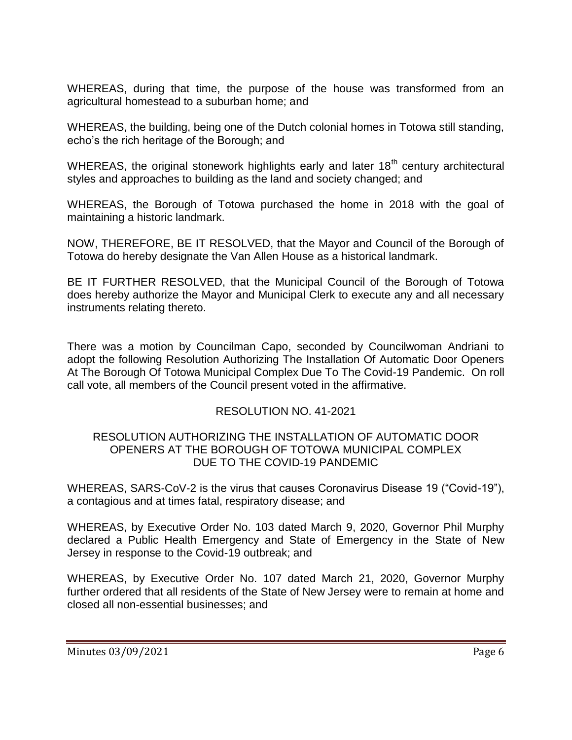WHEREAS, during that time, the purpose of the house was transformed from an agricultural homestead to a suburban home; and

WHEREAS, the building, being one of the Dutch colonial homes in Totowa still standing, echo's the rich heritage of the Borough; and

WHEREAS, the original stonework highlights early and later  $18<sup>th</sup>$  century architectural styles and approaches to building as the land and society changed; and

WHEREAS, the Borough of Totowa purchased the home in 2018 with the goal of maintaining a historic landmark.

NOW, THEREFORE, BE IT RESOLVED, that the Mayor and Council of the Borough of Totowa do hereby designate the Van Allen House as a historical landmark.

BE IT FURTHER RESOLVED, that the Municipal Council of the Borough of Totowa does hereby authorize the Mayor and Municipal Clerk to execute any and all necessary instruments relating thereto.

There was a motion by Councilman Capo, seconded by Councilwoman Andriani to adopt the following Resolution Authorizing The Installation Of Automatic Door Openers At The Borough Of Totowa Municipal Complex Due To The Covid-19 Pandemic. On roll call vote, all members of the Council present voted in the affirmative.

# RESOLUTION NO. 41-2021

#### RESOLUTION AUTHORIZING THE INSTALLATION OF AUTOMATIC DOOR OPENERS AT THE BOROUGH OF TOTOWA MUNICIPAL COMPLEX DUE TO THE COVID-19 PANDEMIC

WHEREAS, SARS-CoV-2 is the virus that causes Coronavirus Disease 19 ("Covid-19"), a contagious and at times fatal, respiratory disease; and

WHEREAS, by Executive Order No. 103 dated March 9, 2020, Governor Phil Murphy declared a Public Health Emergency and State of Emergency in the State of New Jersey in response to the Covid-19 outbreak; and

WHEREAS, by Executive Order No. 107 dated March 21, 2020, Governor Murphy further ordered that all residents of the State of New Jersey were to remain at home and closed all non-essential businesses; and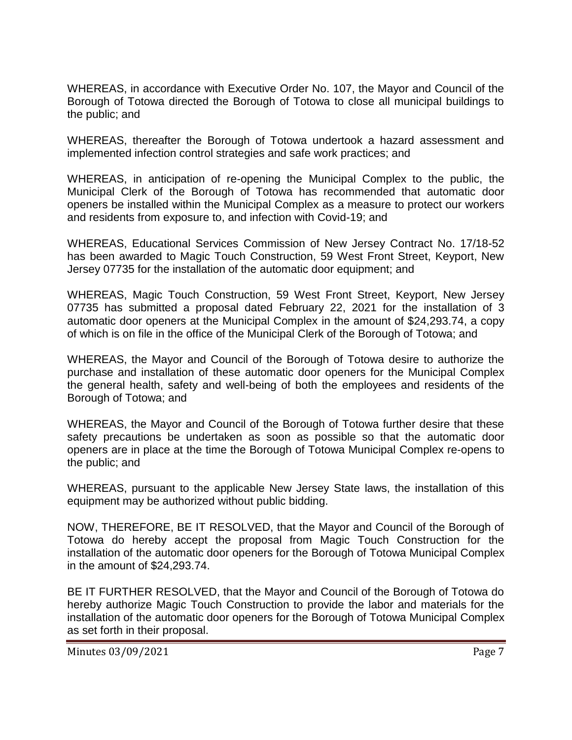WHEREAS, in accordance with Executive Order No. 107, the Mayor and Council of the Borough of Totowa directed the Borough of Totowa to close all municipal buildings to the public; and

WHEREAS, thereafter the Borough of Totowa undertook a hazard assessment and implemented infection control strategies and safe work practices; and

WHEREAS, in anticipation of re-opening the Municipal Complex to the public, the Municipal Clerk of the Borough of Totowa has recommended that automatic door openers be installed within the Municipal Complex as a measure to protect our workers and residents from exposure to, and infection with Covid-19; and

WHEREAS, Educational Services Commission of New Jersey Contract No. 17/18-52 has been awarded to Magic Touch Construction, 59 West Front Street, Keyport, New Jersey 07735 for the installation of the automatic door equipment; and

WHEREAS, Magic Touch Construction, 59 West Front Street, Keyport, New Jersey 07735 has submitted a proposal dated February 22, 2021 for the installation of 3 automatic door openers at the Municipal Complex in the amount of \$24,293.74, a copy of which is on file in the office of the Municipal Clerk of the Borough of Totowa; and

WHEREAS, the Mayor and Council of the Borough of Totowa desire to authorize the purchase and installation of these automatic door openers for the Municipal Complex the general health, safety and well-being of both the employees and residents of the Borough of Totowa; and

WHEREAS, the Mayor and Council of the Borough of Totowa further desire that these safety precautions be undertaken as soon as possible so that the automatic door openers are in place at the time the Borough of Totowa Municipal Complex re-opens to the public; and

WHEREAS, pursuant to the applicable New Jersey State laws, the installation of this equipment may be authorized without public bidding.

NOW, THEREFORE, BE IT RESOLVED, that the Mayor and Council of the Borough of Totowa do hereby accept the proposal from Magic Touch Construction for the installation of the automatic door openers for the Borough of Totowa Municipal Complex in the amount of \$24,293.74.

BE IT FURTHER RESOLVED, that the Mayor and Council of the Borough of Totowa do hereby authorize Magic Touch Construction to provide the labor and materials for the installation of the automatic door openers for the Borough of Totowa Municipal Complex as set forth in their proposal.